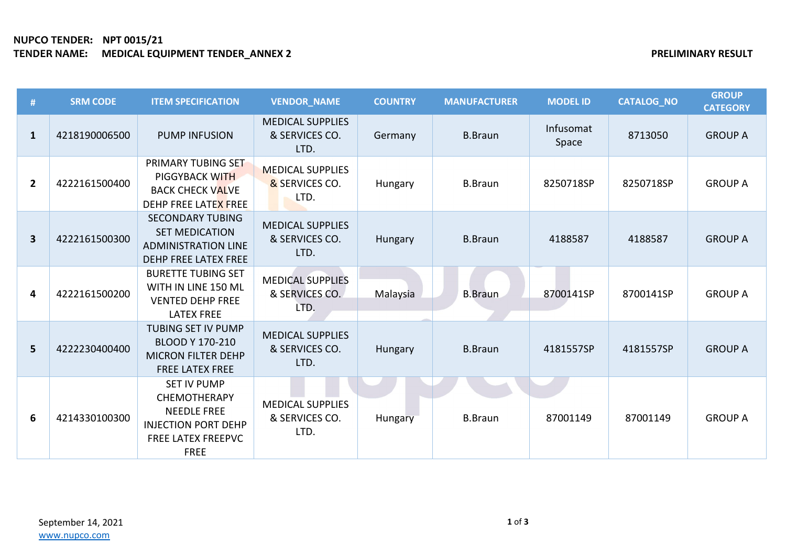## **NUPCO TENDER: NPT 0015/21 TENDER NAME: MEDICAL EQUIPMENT TENDER\_ANNEX 2 PRELIMINARY RESULT**

| #                       | <b>SRM CODE</b> | <b>ITEM SPECIFICATION</b>                                                                                                                 | <b>VENDOR NAME</b>                                | <b>COUNTRY</b> | <b>MANUFACTURER</b> | <b>MODEL ID</b>    | <b>CATALOG_NO</b> | <b>GROUP</b><br><b>CATEGORY</b> |
|-------------------------|-----------------|-------------------------------------------------------------------------------------------------------------------------------------------|---------------------------------------------------|----------------|---------------------|--------------------|-------------------|---------------------------------|
| $\mathbf{1}$            | 4218190006500   | <b>PUMP INFUSION</b>                                                                                                                      | <b>MEDICAL SUPPLIES</b><br>& SERVICES CO.<br>LTD. | Germany        | <b>B.Braun</b>      | Infusomat<br>Space | 8713050           | <b>GROUP A</b>                  |
| $\overline{2}$          | 4222161500400   | PRIMARY TUBING SET<br><b>PIGGYBACK WITH</b><br><b>BACK CHECK VALVE</b><br>DEHP FREE LATEX FREE                                            | <b>MEDICAL SUPPLIES</b><br>& SERVICES CO.<br>LTD. | Hungary        | <b>B.Braun</b>      | 8250718SP          | 8250718SP         | <b>GROUP A</b>                  |
| $\overline{\mathbf{3}}$ | 4222161500300   | <b>SECONDARY TUBING</b><br><b>SET MEDICATION</b><br><b>ADMINISTRATION LINE</b><br><b>DEHP FREE LATEX FREE</b>                             | <b>MEDICAL SUPPLIES</b><br>& SERVICES CO.<br>LTD. | Hungary        | <b>B.Braun</b>      | 4188587            | 4188587           | <b>GROUP A</b>                  |
| 4                       | 4222161500200   | <b>BURETTE TUBING SET</b><br>WITH IN LINE 150 ML<br><b>VENTED DEHP FREE</b><br><b>LATEX FREE</b>                                          | <b>MEDICAL SUPPLIES</b><br>& SERVICES CO.<br>LTD. | Malaysia       | <b>B.Braun</b>      | 8700141SP          | 8700141SP         | <b>GROUP A</b>                  |
| 5                       | 4222230400400   | <b>TUBING SET IV PUMP</b><br><b>BLOOD Y 170-210</b><br><b>MICRON FILTER DEHP</b><br><b>FREE LATEX FREE</b>                                | <b>MEDICAL SUPPLIES</b><br>& SERVICES CO.<br>LTD. | Hungary        | <b>B.Braun</b>      | 4181557SP          | 4181557SP         | <b>GROUP A</b>                  |
| 6                       | 4214330100300   | <b>SET IV PUMP</b><br><b>CHEMOTHERAPY</b><br><b>NEEDLE FREE</b><br><b>INJECTION PORT DEHP</b><br><b>FREE LATEX FREEPVC</b><br><b>FREE</b> | <b>MEDICAL SUPPLIES</b><br>& SERVICES CO.<br>LTD. | Hungary        | <b>B.Braun</b>      | 87001149           | 87001149          | <b>GROUP A</b>                  |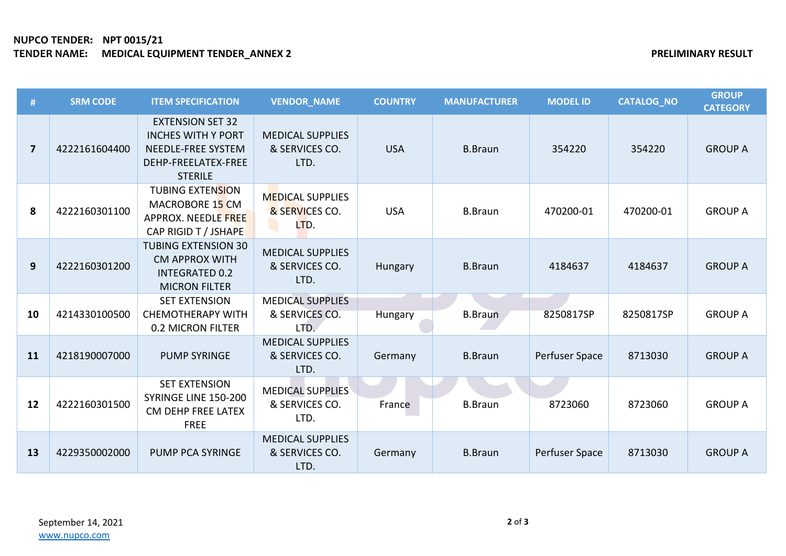# **NUPCO TENDER: NPT 0015/21 TENDER NAME: MEDICAL EQUIPMENT TENDER\_ANNEX 2 PRELIMINARY RESULT**

| #                       | <b>SRM CODE</b> | <b>ITEM SPECIFICATION</b>                                                                                           | <b>VENDOR NAME</b>                                | <b>COUNTRY</b> | <b>MANUFACTURER</b> | <b>MODEL ID</b> | <b>CATALOG NO</b> | <b>GROUP</b><br><b>CATEGORY</b> |
|-------------------------|-----------------|---------------------------------------------------------------------------------------------------------------------|---------------------------------------------------|----------------|---------------------|-----------------|-------------------|---------------------------------|
| $\overline{\mathbf{z}}$ | 4222161604400   | <b>EXTENSION SET 32</b><br><b>INCHES WITH Y PORT</b><br>NEEDLE-FREE SYSTEM<br>DEHP-FREELATEX-FREE<br><b>STERILE</b> | <b>MEDICAL SUPPLIES</b><br>& SERVICES CO.<br>LTD. | <b>USA</b>     | <b>B.Braun</b>      | 354220          | 354220            | <b>GROUP A</b>                  |
| 8                       | 4222160301100   | <b>TUBING EXTENSION</b><br>MACROBORE 15 CM<br>APPROX. NEEDLE FREE<br>CAP RIGID T / JSHAPE                           | <b>MEDICAL SUPPLIES</b><br>& SERVICES CO.<br>LTD. | <b>USA</b>     | <b>B.Braun</b>      | 470200-01       | 470200-01         | <b>GROUP A</b>                  |
| 9                       | 4222160301200   | <b>TUBING EXTENSION 30</b><br><b>CM APPROX WITH</b><br><b>INTEGRATED 0.2</b><br><b>MICRON FILTER</b>                | <b>MEDICAL SUPPLIES</b><br>& SERVICES CO.<br>LTD. | Hungary        | <b>B.Braun</b>      | 4184637         | 4184637           | <b>GROUP A</b>                  |
| 10                      | 4214330100500   | <b>SET EXTENSION</b><br><b>CHEMOTHERAPY WITH</b><br>0.2 MICRON FILTER                                               | <b>MEDICAL SUPPLIES</b><br>& SERVICES CO.<br>LTD. | Hungary        | <b>B.Braun</b>      | 8250817SP       | 8250817SP         | <b>GROUP A</b>                  |
| 11                      | 4218190007000   | <b>PUMP SYRINGE</b>                                                                                                 | <b>MEDICAL SUPPLIES</b><br>& SERVICES CO.<br>LTD. | Germany        | <b>B.Braun</b>      | Perfuser Space  | 8713030           | <b>GROUP A</b>                  |
| 12                      | 4222160301500   | <b>SET EXTENSION</b><br>SYRINGE LINE 150-200<br>CM DEHP FREE LATEX<br><b>FREE</b>                                   | <b>MEDICAL SUPPLIES</b><br>& SERVICES CO.<br>LTD. | France         | <b>B.Braun</b>      | 8723060         | 8723060           | <b>GROUP A</b>                  |
| 13                      | 4229350002000   | PUMP PCA SYRINGE                                                                                                    | <b>MEDICAL SUPPLIES</b><br>& SERVICES CO.<br>LTD. | Germany        | <b>B.Braun</b>      | Perfuser Space  | 8713030           | <b>GROUP A</b>                  |